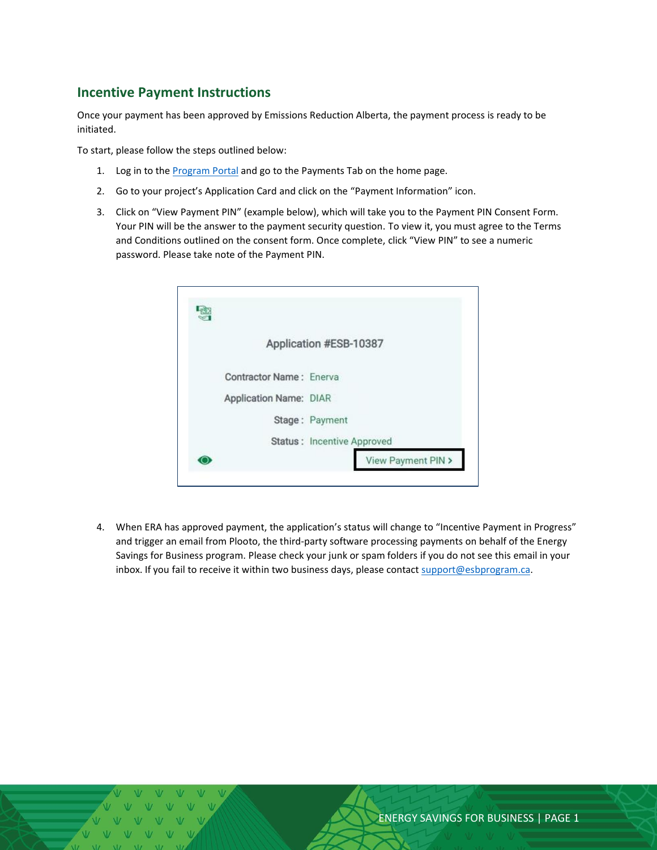## **Incentive Payment Instructions**

Once your payment has been approved by Emissions Reduction Alberta, the payment process is ready to be initiated.

To start, please follow the steps outlined below:

- 1. Log in to the [Program Portal](https://esbprogram.ca/) and go to the Payments Tab on the home page.
- 2. Go to your project's Application Card and click on the "Payment Information" icon.
- 3. Click on "View Payment PIN" (example below), which will take you to the Payment PIN Consent Form. Your PIN will be the answer to the payment security question. To view it, you must agree to the Terms and Conditions outlined on the consent form. Once complete, click "View PIN" to see a numeric password. Please take note of the Payment PIN.

|                                | Application #ESB-10387     |
|--------------------------------|----------------------------|
| <b>Contractor Name: Enerva</b> |                            |
| Application Name: DIAR         |                            |
|                                | Stage: Payment             |
|                                | Status: Incentive Approved |
|                                | View Payment PIN >         |

4. When ERA has approved payment, the application's status will change to "Incentive Payment in Progress" and trigger an email from Plooto, the third-party software processing payments on behalf of the Energy Savings for Business program. Please check your junk or spam folders if you do not see this email in your inbox. If you fail to receive it within two business days, please contact [support@esbprogram.ca.](mailto:support@esbprogram.ca)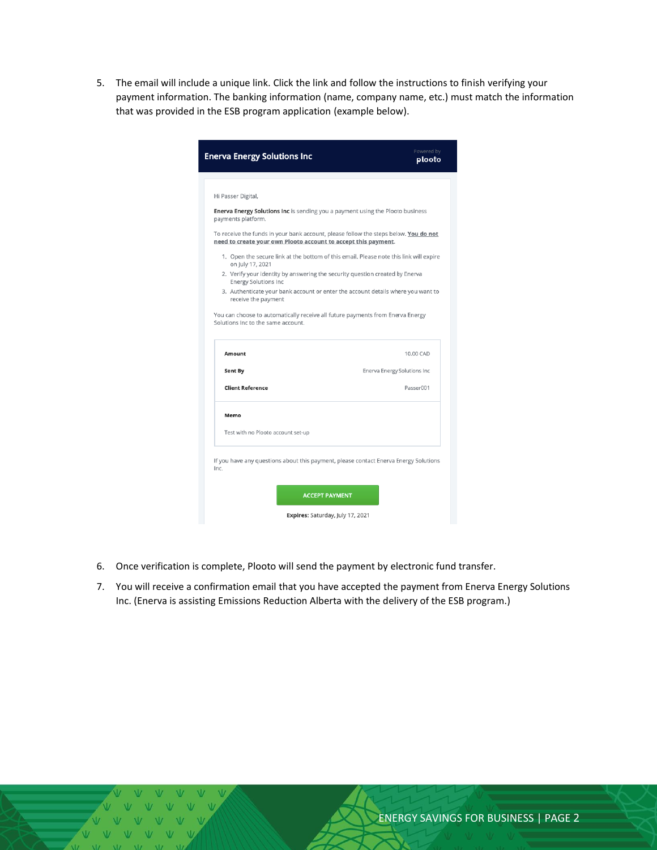5. The email will include a unique link. Click the link and follow the instructions to finish verifying your payment information. The banking information (name, company name, etc.) must match the information that was provided in the ESB program application (example below).

| <b>Enerva Energy Solutions Inc</b>                                                                                   | Powered by<br>plooto                                                                   |  |  |
|----------------------------------------------------------------------------------------------------------------------|----------------------------------------------------------------------------------------|--|--|
|                                                                                                                      |                                                                                        |  |  |
| Hi Passer Digital,                                                                                                   |                                                                                        |  |  |
| Enerva Energy Solutions Inc is sending you a payment using the Plooto business<br>payments platform.                 |                                                                                        |  |  |
| need to create your own Plooto account to accept this payment.                                                       | To receive the funds in your bank account, please follow the steps below. You do not   |  |  |
| on July 17, 2021                                                                                                     | 1. Open the secure link at the bottom of this email. Please note this link will expire |  |  |
| 2. Verify your identity by answering the security question created by Enerva<br><b>Energy Solutions Inc</b>          |                                                                                        |  |  |
| receive the payment                                                                                                  | 3. Authenticate your bank account or enter the account details where you want to       |  |  |
| You can choose to automatically receive all future payments from Enerva Energy<br>Solutions Inc to the same account. |                                                                                        |  |  |
| Amount                                                                                                               | 10.00 CAD                                                                              |  |  |
| <b>Sent By</b>                                                                                                       | Enerva Energy Solutions Inc                                                            |  |  |
| <b>Client Reference</b>                                                                                              | Passer001                                                                              |  |  |
| Memo                                                                                                                 |                                                                                        |  |  |
| Test with no Plooto account set-up                                                                                   |                                                                                        |  |  |
| Inc.                                                                                                                 | If you have any questions about this payment, please contact Enerva Energy Solutions   |  |  |
|                                                                                                                      |                                                                                        |  |  |
|                                                                                                                      | <b>ACCEPT PAYMENT</b>                                                                  |  |  |

- 6. Once verification is complete, Plooto will send the payment by electronic fund transfer.
- 7. You will receive a confirmation email that you have accepted the payment from Enerva Energy Solutions Inc. (Enerva is assisting Emissions Reduction Alberta with the delivery of the ESB program.)

 $N$   $N$